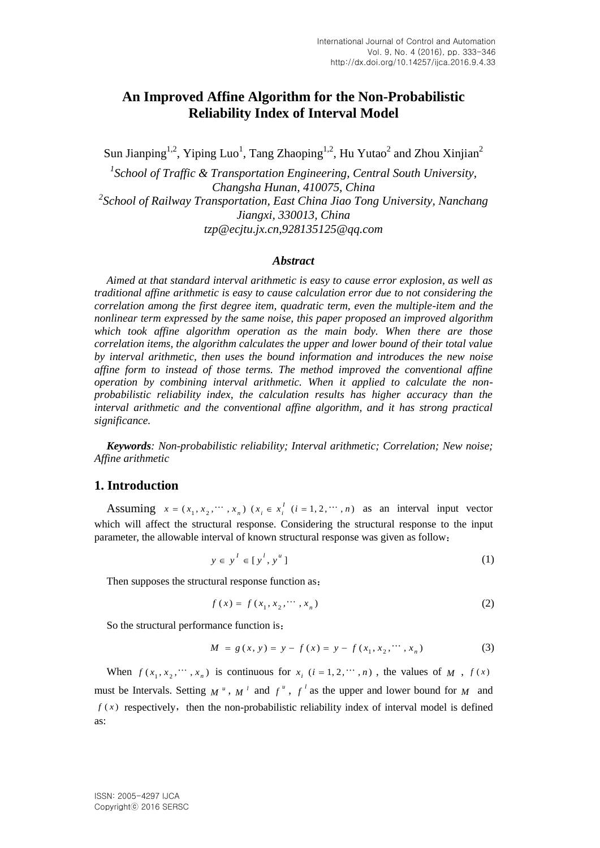# **An Improved Affine Algorithm for the Non-Probabilistic Reliability Index of Interval Model**

Sun Jianping<sup>1,2</sup>, Yiping Luo<sup>1</sup>, Tang Zhaoping<sup>1,2</sup>, Hu Yutao<sup>2</sup> and Zhou Xinjian<sup>2</sup>

<sup>1</sup> School of Traffic & Transportation Engineering, Central South University, *Changsha Hunan, 410075, China* <sup>2</sup> School of Railway Transportation, East China Jiao Tong University, Nanchang *Jiangxi, 330013, China tzp@ecjtu.jx.cn,928135125@qq.com*

### *Abstract*

*Aimed at that standard interval arithmetic is easy to cause error explosion, as well as traditional affine arithmetic is easy to cause calculation error due to not considering the correlation among the first degree item, quadratic term, even the multiple-item and the nonlinear term expressed by the same noise, this paper proposed an improved algorithm which took affine algorithm operation as the main body. When there are those correlation items, the algorithm calculates the upper and lower bound of their total value by interval arithmetic, then uses the bound information and introduces the new noise affine form to instead of those terms. The method improved the conventional affine operation by combining interval arithmetic. When it applied to calculate the nonprobabilistic reliability index, the calculation results has higher accuracy than the* interval arithmetic and the conventional affine algorithm, and it has strong practical *significance.*

*Keywords: Non-probabilistic reliability; Interval arithmetic; Correlation; New noise; Affine arithmetic*

## **1. Introduction**

Assuming  $x = (x_1, x_2, \dots, x_n)$   $(x_i \in x_i^T$   $(i = 1, 2, \dots, n)$  as an interval input vector which will affect the structural response. Considering the structural response to the input parameter, the allowable interval of known structural response was given as follow:

$$
y \in y^I \in [y^I, y^u]
$$
 (1)

Then supposes the structural response function as:

$$
f(x) = f(x_1, x_2, \cdots, x_n)
$$
 (2)

So the structural performance function is:

$$
M = g(x, y) = y - f(x) = y - f(x_1, x_2, \cdots, x_n)
$$
 (3)

When  $f(x_1, x_2, \dots, x_n)$  is continuous for  $x_i$   $(i = 1, 2, \dots, n)$ , the values of  $M$ ,  $f(x)$ must be Intervals. Setting  $M^u$ ,  $M^l$  and  $f^u$ ,  $f^l$  as the upper and lower bound for  $M$  and  $f(x)$  respectively, then the non-probabilistic reliability index of interval model is defined as: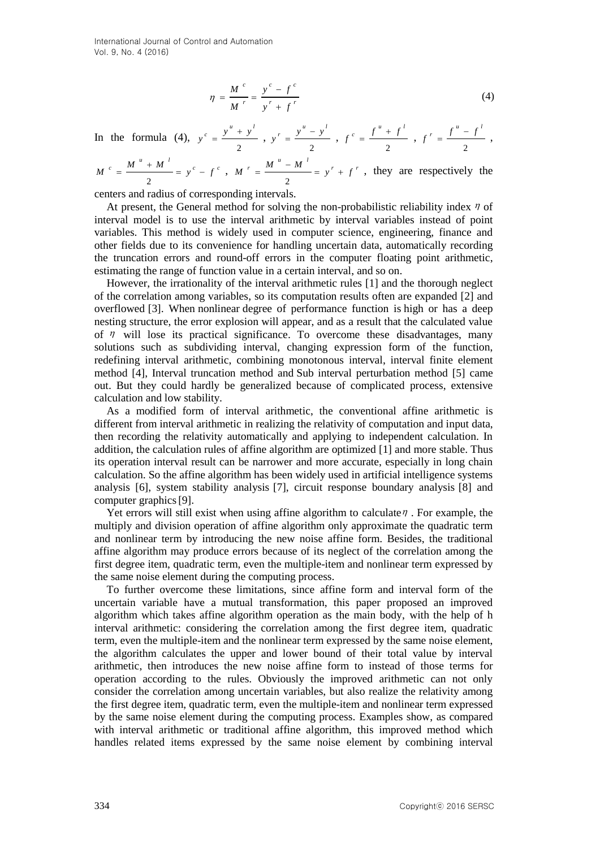$$
\eta = \frac{M^{c}}{M^{r}} = \frac{y^{c} - f^{c}}{y^{r} + f^{r}}
$$
\n(4)

In the formula (4), 2  $y^{c} = \frac{y^{u} + y^{l}}{u^{v}}$ 2  $y' = \frac{y'' - y^{l}}{s'}$ , 2  $f^{c} = \frac{f^{u} + f^{l}}{f^{l}}$ 2  $f' = \frac{f'' - f'}{f}$ ,

$$
M^c = \frac{M^u + M^l}{2} = y^c - f^c
$$
, 
$$
M^r = \frac{M^u - M^l}{2} = y^r + f^r
$$
, they are respectively the

centers and radius of corresponding intervals.

At present, the General method for solving the non-probabilistic reliability index  $\eta$  of interval model is to use the interval arithmetic by interval variables instead of point variables. This method is widely used in computer science, engineering, finance and other fields due to its convenience for handling uncertain data, automatically recording the truncation errors and round-off errors in the computer floating point arithmetic, estimating the range of function value in a certain interval, and so on.

However, the irrationality of the interval arithmetic rules [1] and the thorough neglect of the correlation among variables, so its computation results often are expanded [2] and overflowed [3]. When nonlinear degree of performance function is high or has a deep nesting structure, the error explosion will appear, and as a result that the calculated value of  $\eta$  will lose its practical significance. To overcome these disadvantages, many solutions such as subdividing interval, changing expression form of the function, redefining interval arithmetic, combining monotonous interval, interval finite element method [4], Interval truncation method and Sub interval perturbation method [5] came out. But they could hardly be generalized because of complicated process, extensive calculation and low stability.

As a modified form of interval arithmetic, the conventional affine arithmetic is different from interval arithmetic in realizing the relativity of computation and input data, then recording the relativity automatically and applying to independent calculation. In addition, the calculation rules of affine algorithm are optimized [1] and more stable. Thus its operation interval result can be narrower and more accurate, especially in long chain calculation. So the affine algorithm has been widely used in artificial intelligence systems analysis [6], system stability analysis [7], circuit response boundary analysis [8] and computer graphics[9].

Yet errors will still exist when using affine algorithm to calculate  $\eta$ . For example, the multiply and division operation of affine algorithm only approximate the quadratic term and nonlinear term by introducing the new noise affine form. Besides, the traditional affine algorithm may produce errors because of its neglect of the correlation among the first degree item, quadratic term, even the multiple-item and nonlinear term expressed by the same noise element during the computing process.

To further overcome these limitations, since affine form and interval form of the uncertain variable have a mutual transformation, this paper proposed an improved algorithm which takes affine algorithm operation as the main body, with the help of h interval arithmetic: considering the correlation among the first degree item, quadratic term, even the multiple-item and the nonlinear term expressed by the same noise element, the algorithm calculates the upper and lower bound of their total value by interval arithmetic, then introduces the new noise affine form to instead of those terms for operation according to the rules. Obviously the improved arithmetic can not only consider the correlation among uncertain variables, but also realize the relativity among the first degree item, quadratic term, even the multiple-item and nonlinear term expressed by the same noise element during the computing process. Examples show, as compared with interval arithmetic or traditional affine algorithm, this improved method which handles related items expressed by the same noise element by combining interval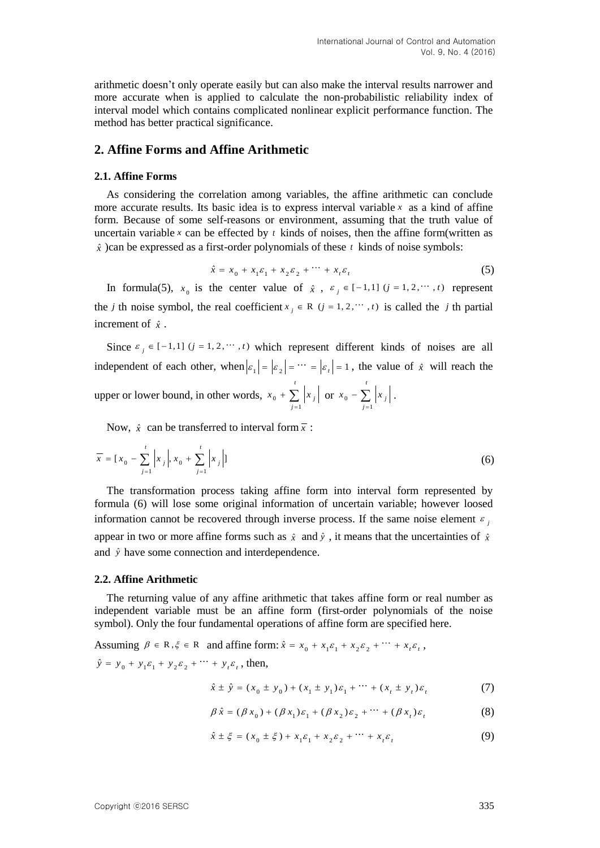arithmetic doesn't only operate easily but can also make the interval results narrower and more accurate when is applied to calculate the non-probabilistic reliability index of interval model which contains complicated nonlinear explicit performance function. The method has better practical significance.

## **2. Affine Forms and Affine Arithmetic**

#### **2.1. Affine Forms**

As considering the correlation among variables, the affine arithmetic can conclude more accurate results. Its basic idea is to express interval variable  $x$  as a kind of affine form. Because of some self-reasons or environment, assuming that the truth value of uncertain variable  $x$  can be effected by  $t$  kinds of noises, then the affine form(written as *x* ˆ)can be expressed as a first-order polynomials of these *t* kinds of noise symbols:

$$
\hat{x} = x_0 + x_1 \varepsilon_1 + x_2 \varepsilon_2 + \dots + x_t \varepsilon_t \tag{5}
$$

In formula(5),  $x_0$  is the center value of  $\hat{x}$ ,  $\varepsilon_j \in [-1,1]$  ( $j = 1, 2, \dots, t$ ) represent the *j* th noise symbol, the real coefficient  $x_j \in R$  ( $j = 1, 2, \dots, t$ ) is called the *j* th partial increment of  $\hat{x}$ .

Since  $\varepsilon_j \in [-1,1]$   $(j = 1, 2, \dots, t)$  which represent different kinds of noises are all independent of each other, when  $|\varepsilon_1| = |\varepsilon_2| = \cdots = |\varepsilon_t| = 1$ , the value of  $\hat{x}$  will reach the upper or lower bound, in other words,  $x_0$ 1 *t j j*  $x_{0} + \sum |x|$  $+\sum_{j=1} |x_j|$  or  $x_0$ 1 *t j j*  $x_{0}$  –  $\sum x_{0}$  $- \sum_{j=1} |x_j|.$ 

Now,  $\hat{x}$  can be transferred to interval form  $\bar{x}$ :

$$
\overline{x} = [x_0 - \sum_{j=1}^{t} |x_j|, x_0 + \sum_{j=1}^{t} |x_j|]
$$
\n(6)

The transformation process taking affine form into interval form represented by formula (6) will lose some original information of uncertain variable; however loosed information cannot be recovered through inverse process. If the same noise element  $\epsilon$ appear in two or more affine forms such as  $\hat{x}$  and  $\hat{y}$ , it means that the uncertainties of  $\hat{x}$ and  $\hat{y}$  have some connection and interdependence.

#### **2.2. Affine Arithmetic**

The returning value of any affine arithmetic that takes affine form or real number as independent variable must be an affine form (first-order polynomials of the noise symbol). Only the four fundamental operations of affine form are specified here.

Assuming  $\beta \in \mathbb{R}, \xi \in \mathbb{R}$  and affine form:  $\hat{x} = x_0 + x_1 \varepsilon_1 + x_2 \varepsilon_2 + \cdots + x_i \varepsilon_i$ ,  $\hat{y} = y_0 + y_1 \varepsilon_1 + y_2 \varepsilon_2 + \cdots + y_t \varepsilon_t$ , then,

$$
\hat{x} \pm \hat{y} = (x_0 \pm y_0) + (x_1 \pm y_1)\varepsilon_1 + \cdots + (x_t \pm y_t)\varepsilon_t
$$
\n(7)

$$
\beta \hat{x} = (\beta x_0) + (\beta x_1) \varepsilon_1 + (\beta x_2) \varepsilon_2 + \dots + (\beta x_t) \varepsilon_t
$$
 (8)

$$
\hat{x} \pm \xi = (x_0 \pm \xi) + x_1 \varepsilon_1 + x_2 \varepsilon_2 + \dots + x_t \varepsilon_t
$$
 (9)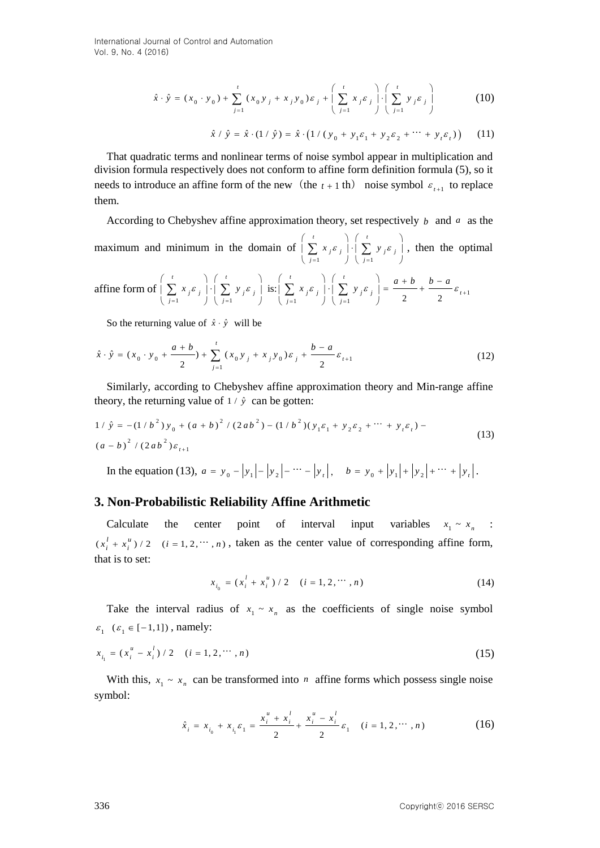$$
\hat{x} \cdot \hat{y} = (x_0 \cdot y_0) + \sum_{j=1}^{t} (x_0 y_j + x_j y_0) \varepsilon_j + \left( \sum_{j=1}^{t} x_j \varepsilon_j \right) \cdot \left( \sum_{j=1}^{t} y_j \varepsilon_j \right)
$$
(10)

$$
\hat{x} / \hat{y} = \hat{x} \cdot (1 / \hat{y}) = \hat{x} \cdot (1 / (y_0 + y_1 \varepsilon_1 + y_2 \varepsilon_2 + \dots + y_i \varepsilon_i)) \tag{11}
$$

That quadratic terms and nonlinear terms of noise symbol appear in multiplication and division formula respectively does not conform to affine form definition formula (5), so it needs to introduce an affine form of the new (the  $t + 1$  th) noise symbol  $\varepsilon_{t+1}$  to replace them.

According to Chebyshev affine approximation theory, set respectively  $b$  and  $a$  as the maximum and minimum in the domain of 1  $\bigcup$   $j=1$  $t \rightarrow \begin{pmatrix} t & t \end{pmatrix}$  $j^{\mathcal{E}}$ <sub>j</sub> | |  $\sum$   $y$ <sub>j</sub> $\mathcal{E}$ <sub>j</sub> *j j*  $x_i \varepsilon_i$   $\left| \cdot \right| \sum y_i \varepsilon_i$  $= 1$   $\left| \begin{array}{c} \overline{j} = 1 \end{array} \right|$  $\left(\begin{array}{ccc} t & \cdot & \cdot \\ \hline \cdot & \cdot & \cdot \end{array}\right)$  $|\sum x_j \varepsilon_j| \cdot |\sum y_j \varepsilon_j|$ ,  $\left(\begin{array}{cc} \bullet & \bullet & \bullet \\ j=1 & \bullet \end{array}\right) \left(\begin{array}{cc} \bullet & \bullet & \bullet \\ j=1 & \bullet \end{array}\right)$  $\sum_{i=1}^{n} x_i \varepsilon_i \cdot \left| \cdot \right| \cdot \left( \sum_{i=1}^{n} y_i \varepsilon_i \right)$ , then the optimal

affine form of 
$$
\left(\sum_{j=1}^{t} x_j \varepsilon_j\right) \cdot \left(\sum_{j=1}^{t} y_j \varepsilon_j\right)
$$
 is:  $\left(\sum_{j=1}^{t} x_j \varepsilon_j\right) \cdot \left(\sum_{j=1}^{t} y_j \varepsilon_j\right) = \frac{a+b}{2} + \frac{b-a}{2} \varepsilon_{t+1}$ 

So the returning value of  $\hat{x} \cdot \hat{y}$  will be

So the returning value of 
$$
x \cdot y
$$
 with be  
\n
$$
\hat{x} \cdot \hat{y} = (x_0 \cdot y_0 + \frac{a+b}{2}) + \sum_{j=1}^{t} (x_0 y_j + x_j y_0) \varepsilon_j + \frac{b-a}{2} \varepsilon_{t+1}
$$
\n(12)

Similarly, according to Chebyshev affine approximation theory and Min-range affine

theory, the returning value of 
$$
1/\hat{y}
$$
 can be gotten:  
\n
$$
1/\hat{y} = -(1/b^2)y_0 + (a+b)^2/(2ab^2) - (1/b^2)(y_1\varepsilon_1 + y_2\varepsilon_2 + \cdots + y_t\varepsilon_t) - (a-b)^2/(2ab^2)\varepsilon_{t+1}
$$
\n(13)

In the equation (13),  $a = y_0 - |y_1| - |y_2| - \cdots - |y_r|$ ,  $b = y_0 + |y_1| + |y_2| + \cdots + |y_r|$ .

## **3. Non-Probabilistic Reliability Affine Arithmetic**

Calculate the center point of interval input variables  $x_1 \sim x_n$  :  $(x_i^l + x_i^u) / 2$   $(i = 1, 2, \dots, n)$ , taken as the center value of corresponding affine form, that is to set:

$$
x_{i_0} = (x_i^l + x_i^u) / 2 \quad (i = 1, 2, \cdots, n)
$$
 (14)

Take the interval radius of  $x_1 \sim x_n$  as the coefficients of single noise symbol  $\varepsilon_1 \ (\varepsilon_1 \in [-1,1])$ , namely:

$$
x_{i_1} = (x_i^u - x_i^l) / 2 \quad (i = 1, 2, \cdots, n)
$$
 (15)

With this,  $x_1 \sim x_n$  can be transformed into *n* affine forms which possess single noise symbol:

$$
\hat{x}_i = x_{i_0} + x_{i_1} \varepsilon_1 = \frac{x_i^u + x_i^l}{2} + \frac{x_i^u - x_i^l}{2} \varepsilon_1 \quad (i = 1, 2, \dots, n)
$$
 (16)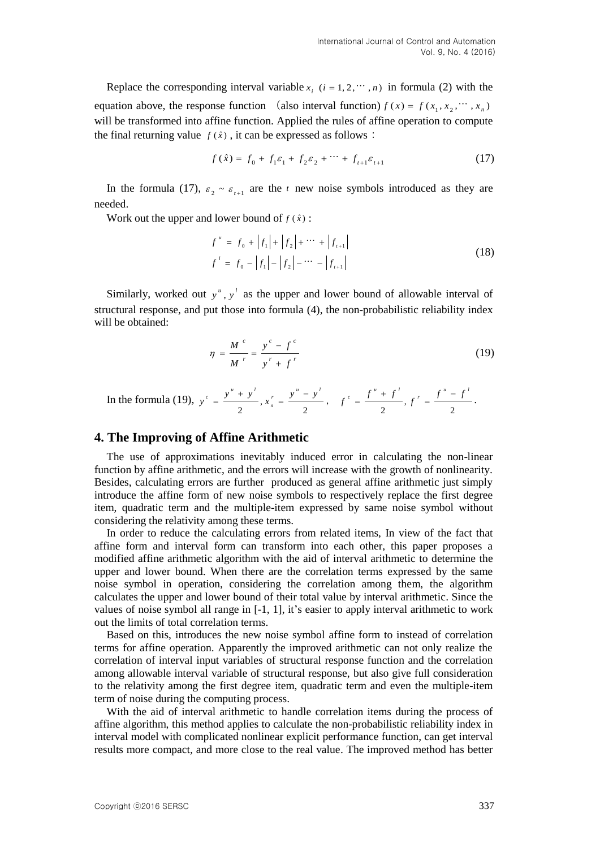Replace the corresponding interval variable  $x_i$  ( $i = 1, 2, \dots, n$ ) in formula (2) with the equation above, the response function (also interval function)  $f(x) = f(x_1, x_2, \dots, x_n)$ will be transformed into affine function. Applied the rules of affine operation to compute the final returning value  $f(\hat{x})$ , it can be expressed as follows:

$$
f(\hat{x}) = f_0 + f_1 \varepsilon_1 + f_2 \varepsilon_2 + \dots + f_{t+1} \varepsilon_{t+1}
$$
 (17)

In the formula (17),  $\varepsilon_2 \sim \varepsilon_{t+1}$  are the t new noise symbols introduced as they are needed.

Work out the upper and lower bound of  $f(\hat{x})$ :

$$
f'' = f_0 + |f_1| + |f_2| + \cdots + |f_{t+1}|
$$
  
\n
$$
f' = f_0 - |f_1| - |f_2| - \cdots - |f_{t+1}|
$$
\n(18)

Similarly, worked out  $y^u$ ,  $y^l$  as the upper and lower bound of allowable interval of structural response, and put those into formula (4), the non-probabilistic reliability index will be obtained:

$$
\eta = \frac{M^{c}}{M^{r}} = \frac{y^{c} - f^{c}}{y^{r} + f^{r}}
$$
(19)

In the formula (19),  $y^c = \frac{y^2 + y^2}{2}$ ,  $x'_n = \frac{y^2 - y^2}{2}$  $\frac{y'' + y'}{y}$ ,  $x_n' = \frac{y'' - y'}{y}$  $y^{c} = \frac{y^{u} + y^{l}}{y^{c}}$ ,  $x_{n}^{r} = \frac{y^{u} - y^{l}}{y^{c}}$ ,  $f^{c} = \frac{f^{u} + f^{l}}{y^{c}}$ ,  $\frac{1}{2}$ ,  $f = \frac{1}{2}$  $f^c = \frac{f^u + f^l}{f^l}, f^r = \frac{f^u - f^l}{f^l}.$ 

### **4. The Improving of Affine Arithmetic**

The use of approximations inevitably induced error in calculating the non-linear function by affine arithmetic, and the errors will increase with the growth of nonlinearity. Besides, calculating errors are further produced as general affine arithmetic just simply introduce the affine form of new noise symbols to respectively replace the first degree item, quadratic term and the multiple-item expressed by same noise symbol without considering the relativity among these terms.

In order to reduce the calculating errors from related items, In view of the fact that affine form and interval form can transform into each other, this paper proposes a modified affine arithmetic algorithm with the aid of interval arithmetic to determine the upper and lower bound. When there are the correlation terms expressed by the same noise symbol in operation, considering the correlation among them, the algorithm calculates the upper and lower bound of their total value by interval arithmetic. Since the values of noise symbol all range in [-1, 1], it's easier to apply interval arithmetic to work out the limits of total correlation terms.

Based on this, introduces the new noise symbol affine form to instead of correlation terms for affine operation. Apparently the improved arithmetic can not only realize the correlation of interval input variables of structural response function and the correlation among allowable interval variable of structural response, but also give full consideration to the relativity among the first degree item, quadratic term and even the multiple-item term of noise during the computing process.

With the aid of interval arithmetic to handle correlation items during the process of affine algorithm, this method applies to calculate the non-probabilistic reliability index in interval model with complicated nonlinear explicit performance function, can get interval results more compact, and more close to the real value. The improved method has better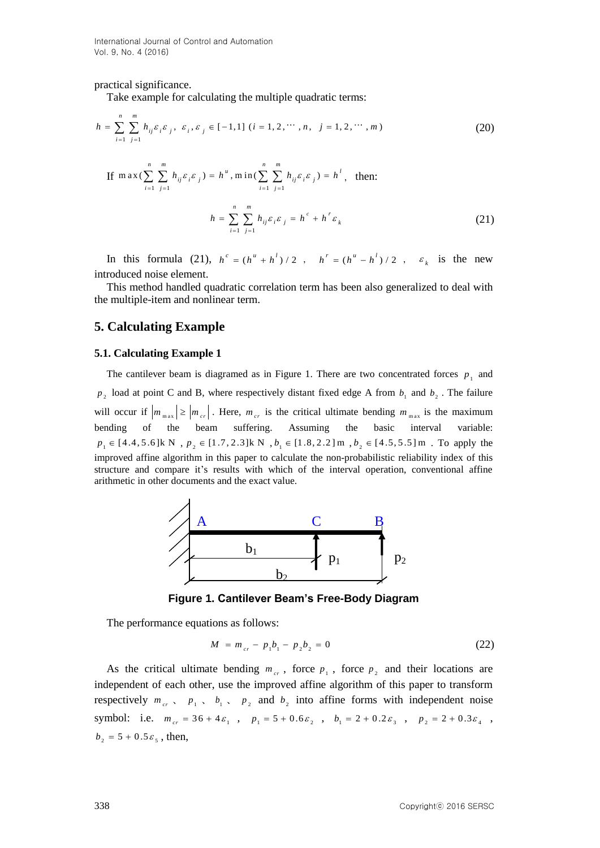practical significance.

Take example for calculating the multiple quadratic terms:<br>*n m* 

Take example for calculating the multiple quadratic terms:  
\n
$$
h = \sum_{i=1}^{n} \sum_{j=1}^{m} h_{ij} \varepsilon_i \varepsilon_j, \ \varepsilon_i, \varepsilon_j \in [-1, 1] \ (i = 1, 2, \cdots, n, \ j = 1, 2, \cdots, m)
$$
\n(20)

If 
$$
\max(\sum_{i=1}^{n} \sum_{j=1}^{m} h_{ij} \varepsilon_i \varepsilon_j) = h^{u}
$$
,  $\min(\sum_{i=1}^{n} \sum_{j=1}^{m} h_{ij} \varepsilon_i \varepsilon_j) = h^{l}$ , then:  

$$
h = \sum_{i=1}^{n} \sum_{j=1}^{m} h_{ij} \varepsilon_i \varepsilon_j = h^{c} + h^{r} \varepsilon_k
$$
(21)

In this formula (21),  $h^c = (h^u + h^l)/2$ ,  $h^r = (h^u - h^l)/2$ ,  $\varepsilon_k$  is the new introduced noise element.

This method handled quadratic correlation term has been also generalized to deal with the multiple-item and nonlinear term.

## **5. Calculating Example**

#### **5.1. Calculating Example 1**

The cantilever beam is diagramed as in Figure 1. There are two concentrated forces  $p_1$  and  $p_2$  load at point C and B, where respectively distant fixed edge A from  $b_1$  and  $b_2$ . The failure will occur if  $|m_{max}| \ge |m_{cr}|$ . Here,  $m_{cr}$  is the critical ultimate bending  $m_{max}$  is the maximum bending of the beam suffering. Assuming the basic interval variable:  $p_1 \in [4.4, 5.6]$  k N,  $p_2 \in [1.7, 2.3]$  k N,  $b_1 \in [1.8, 2.2]$  m,  $b_2 \in [4.5, 5.5]$  m. To apply the improved affine algorithm in this paper to calculate the non-probabilistic reliability index of this structure and compare it's results with which of the interval operation, conventional affine arithmetic in other documents and the exact value.



**Figure 1. Cantilever Beam's Free-Body Diagram**

The performance equations as follows:

$$
M = m_{cr} - p_1 b_1 - p_2 b_2 = 0 \tag{22}
$$

As the critical ultimate bending  $m_{cr}$ , force  $p_1$ , force  $p_2$  and their locations are independent of each other, use the improved affine algorithm of this paper to transform respectively  $m_{cr}$ ,  $p_1$ ,  $b_1$ ,  $p_2$  and  $b_2$  into affine forms with independent noise symbol: i.e.  $m_{cr} = 36 + 4\varepsilon_1$ ,  $p_1 = 5 + 0.6\varepsilon_2$ ,  $b_1 = 2 + 0.2\varepsilon_3$ ,  $p_2 = 2 + 0.3\varepsilon_4$ ,  $b_2 = 5 + 0.5 \varepsilon_5$ , then,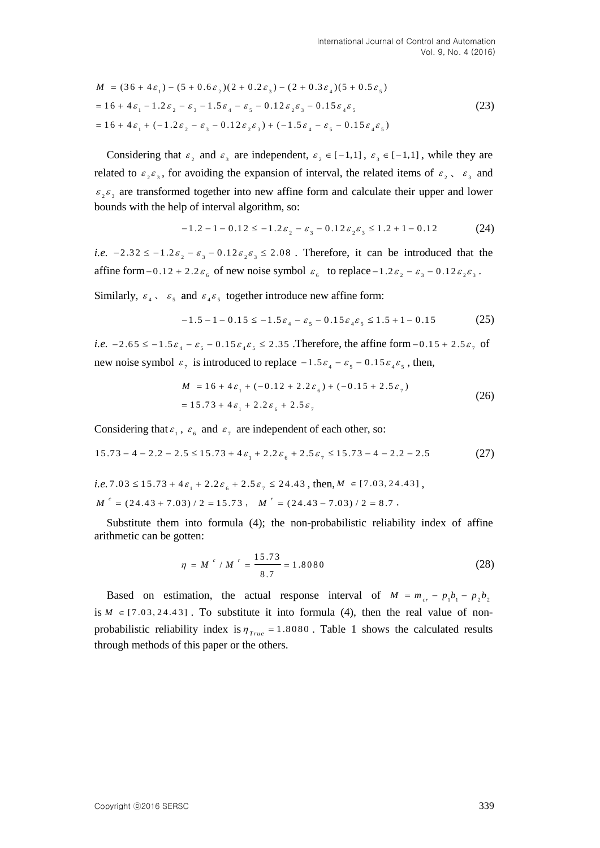$$
M = (36 + 4\epsilon_1) - (5 + 0.6\epsilon_2)(2 + 0.2\epsilon_3) - (2 + 0.3\epsilon_4)(5 + 0.5\epsilon_5)
$$
  
= 16 + 4\epsilon\_1 - 1.2\epsilon\_2 - \epsilon\_3 - 1.5\epsilon\_4 - \epsilon\_5 - 0.12\epsilon\_2\epsilon\_3 - 0.15\epsilon\_4\epsilon\_5  
= 16 + 4\epsilon\_1 + (-1.2\epsilon\_2 - \epsilon\_3 - 0.12\epsilon\_2\epsilon\_3) + (-1.5\epsilon\_4 - \epsilon\_5 - 0.15\epsilon\_4\epsilon\_5) (23)

Considering that  $\varepsilon_2$  and  $\varepsilon_3$  are independent,  $\varepsilon_2 \in [-1,1]$ ,  $\varepsilon_3 \in [-1,1]$ , while they are related to  $\varepsilon_2 \varepsilon_3$ , for avoiding the expansion of interval, the related items of  $\varepsilon_2$ ,  $\varepsilon_3$  and  $\varepsilon_2 \varepsilon_3$  are transformed together into new affine form and calculate their upper and lower bounds with the help of interval algorithm, so:<br> $-1.2 - 1 - 0.12 \le -1.2 \varepsilon_2 - \varepsilon_3 - 0.12 \varepsilon_2 \varepsilon_3 \le 1.2 + 1 - 0.12$ 

$$
-1.2 - 1 - 0.12 \le -1.2\varepsilon_2 - \varepsilon_3 - 0.12\varepsilon_2\varepsilon_3 \le 1.2 + 1 - 0.12 \tag{24}
$$

*i.e.*  $-2.32 \le -1.2 \varepsilon_2 - \varepsilon_3 - 0.12 \varepsilon_2 \varepsilon_3 \le 2.08$ . Therefore, it can be introduced that the affine form  $-0.12 + 2.2\varepsilon_6$  of new noise symbol  $\varepsilon_6$  to replace  $-1.2\varepsilon_2 - \varepsilon_3 - 0.12\varepsilon_2\varepsilon_3$ .

Similarly, 
$$
\varepsilon_4
$$
,  $\varepsilon_5$  and  $\varepsilon_4 \varepsilon_5$  together introduce new affine form:  
-1.5 -1 - 0.15  $\le$  -1.5 $\varepsilon_4$  -  $\varepsilon_5$  - 0.15 $\varepsilon_4 \varepsilon_5$   $\le$  1.5 + 1 - 0.15 (25)

*i.e.*  $-2.65 \le -1.5\varepsilon_4 - \varepsilon_5 - 0.15\varepsilon_4\varepsilon_5 \le 2.35$ . Therefore, the affine form  $-0.15 + 2.5\varepsilon_7$  of new noise symbol  $\varepsilon_7$  is introduced to replace  $-1.5\varepsilon_4 - \varepsilon_5 - 0.15\varepsilon_4\varepsilon_5$ , then,

$$
M = 16 + 4\varepsilon_1 + (-0.12 + 2.2\varepsilon_6) + (-0.15 + 2.5\varepsilon_7)
$$
  
= 15.73 + 4\varepsilon\_1 + 2.2\varepsilon\_6 + 2.5\varepsilon\_7 (26)

Considering that 
$$
\varepsilon_1
$$
,  $\varepsilon_6$  and  $\varepsilon_7$  are independent of each other, so:  
\n $15.73 - 4 - 2.2 - 2.5 \le 15.73 + 4\varepsilon_1 + 2.2\varepsilon_6 + 2.5\varepsilon_7 \le 15.73 - 4 - 2.2 - 2.5$  (27)  
\ni.e.  $7.03 \le 15.73 + 4\varepsilon_1 + 2.2\varepsilon_6 + 2.5\varepsilon_7 \le 24.43$ , then,  $M \in [7.03, 24.43]$ ,

$$
M^r = (24.43 + 7.03) / 2 = 15.73, \quad M^r = (24.43 - 7.03) / 2 = 8.7.
$$

Substitute them into formula (4); the non-probabilistic reliability index of affine arithmetic can be gotten:

$$
\eta = M^c / M^r = \frac{15.73}{8.7} = 1.8080
$$
 (28)

Based on estimation, the actual response interval of  $M = m_{cr} - p_1 b_1 - p_2 b_2$ is  $M \in [7.03, 24.43]$ . To substitute it into formula (4), then the real value of nonprobabilistic reliability index is  $\eta_{True} = 1.8080$ . Table 1 shows the calculated results through methods of this paper or the others.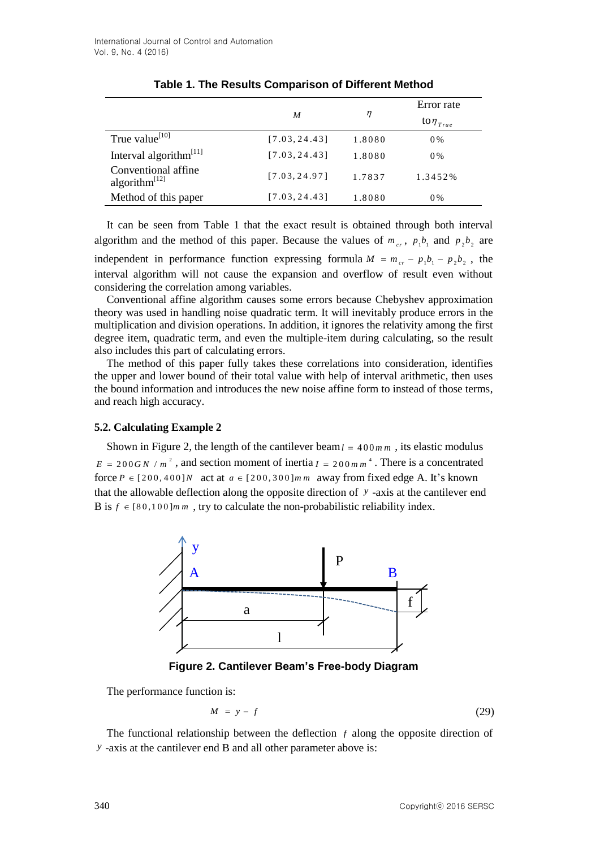|                                            | M             | η      | Error rate                |
|--------------------------------------------|---------------|--------|---------------------------|
|                                            |               |        | to $\eta_{\mathit{True}}$ |
| True value <sup>[10]</sup>                 | [7.03, 24.43] | 1.8080 | $0\%$                     |
| Interval algorithm <sup>[11]</sup>         | [7.03, 24.43] | 1.8080 | $0\%$                     |
| Conventional affine<br>algorithm $^{[12]}$ | [7.03, 24.97] | 1.7837 | 1.3452%                   |
| Method of this paper                       | [7.03, 24.43] | 1.8080 | 0%                        |

## **Table 1. The Results Comparison of Different Method**

It can be seen from Table 1 that the exact result is obtained through both interval algorithm and the method of this paper. Because the values of  $m_{cr}$ ,  $p_1b_1$  and  $p_2b_2$  are independent in performance function expressing formula  $M = m_{cr} - p_1 b_1 - p_2 b_2$ , the interval algorithm will not cause the expansion and overflow of result even without considering the correlation among variables.

Conventional affine algorithm causes some errors because Chebyshev approximation theory was used in handling noise quadratic term. It will inevitably produce errors in the multiplication and division operations. In addition, it ignores the relativity among the first degree item, quadratic term, and even the multiple-item during calculating, so the result also includes this part of calculating errors.

The method of this paper fully takes these correlations into consideration, identifies the upper and lower bound of their total value with help of interval arithmetic, then uses the bound information and introduces the new noise affine form to instead of those terms, and reach high accuracy.

## **5.2. Calculating Example 2**

Shown in Figure 2, the length of the cantilever beam  $l = 400$  mm, its elastic modulus  $E = 200$  *GN* /  $m^2$ , and section moment of inertia  $I = 200$  *m*  $m^4$ . There is a concentrated force  $P \in [200, 400]$ N act at  $a \in [200, 300]$ m m away from fixed edge A. It's known that the allowable deflection along the opposite direction of *y* -axis at the cantilever end B is  $f \in [80, 100]$  m m, try to calculate the non-probabilistic reliability index.



**Figure 2. Cantilever Beam's Free-body Diagram**

The performance function is:

$$
M = y - f \tag{29}
$$

The functional relationship between the deflection  $f$  along the opposite direction of *y* -axis at the cantilever end B and all other parameter above is: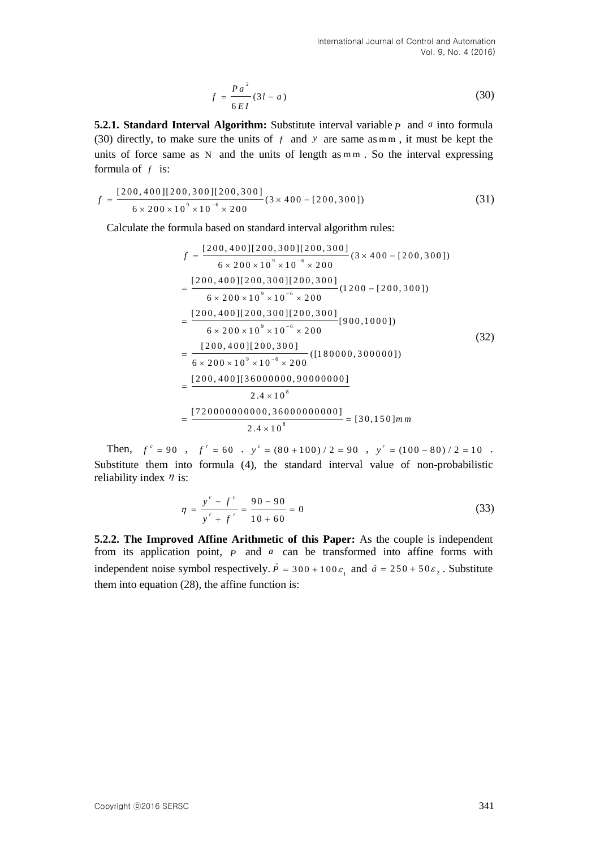$$
f = \frac{Pa^2}{6EI}(3l - a) \tag{30}
$$

**5.2.1. Standard Interval Algorithm:** Substitute interval variable *p* and *a* into formula (30) directly, to make sure the units of  $f$  and  $y$  are same as m m, it must be kept the units of force same as N and the units of length as m m. So the interval expressing formula of  $f$  is:

formula of f is:  
\n
$$
f = \frac{[200, 400][200, 300][200, 300]}{6 \times 200 \times 10^{9} \times 10^{-6} \times 200} (3 \times 400 - [200, 300])
$$
\n(31)

Calculate the formula based on standard interval algorithm rules:<br> $f = \frac{[200, 400][200, 300][200, 300]}{(3 \times 400 - 120)}$ 

$$
f = \frac{[200, 400][200, 300][200, 300]}{6 \times 200 \times 10^{9} \times 10^{-6} \times 200} (3 \times 400 - [200, 300])
$$
  
= 
$$
\frac{[200, 400][200, 300][200, 300]}{6 \times 200 \times 10^{9} \times 10^{-6} \times 200} (1200 - [200, 300])
$$
  
= 
$$
\frac{[200, 400][200, 300][200, 300]}{6 \times 200 \times 10^{9} \times 10^{-6} \times 200} [900, 1000])
$$
  
= 
$$
\frac{[200, 400][200, 300]}{6 \times 200 \times 10^{9} \times 10^{-6} \times 200} (1180000, 300000])
$$
  
= 
$$
\frac{[200, 400][36000000, 90000000]}{2.4 \times 10^{8}}
$$
  
= 
$$
\frac{[720000000000, 36000000000]}{2.4 \times 10^{8}} = [30, 150] m m
$$

Then,  $f^c = 90$ ,  $f^r = 60$ ,  $y^c = (80 + 100) / 2 = 90$ ,  $y^r = (100 - 80) / 2 = 10$ . Substitute them into formula (4), the standard interval value of non-probabilistic reliability index  $\eta$  is:

$$
\eta = \frac{y^{c} - f^{c}}{y^{r} + f^{r}} = \frac{90 - 90}{10 + 60} = 0
$$
\n(33)

**5.2.2. The Improved Affine Arithmetic of this Paper:** As the couple is independent from its application point, *P* and *a* can be transformed into affine forms with independent noise symbol respectively.  $\hat{P} = 300 + 100 \varepsilon_1$  and  $\hat{a} = 250 + 50 \varepsilon_2$ . Substitute them into equation (28), the affine function is: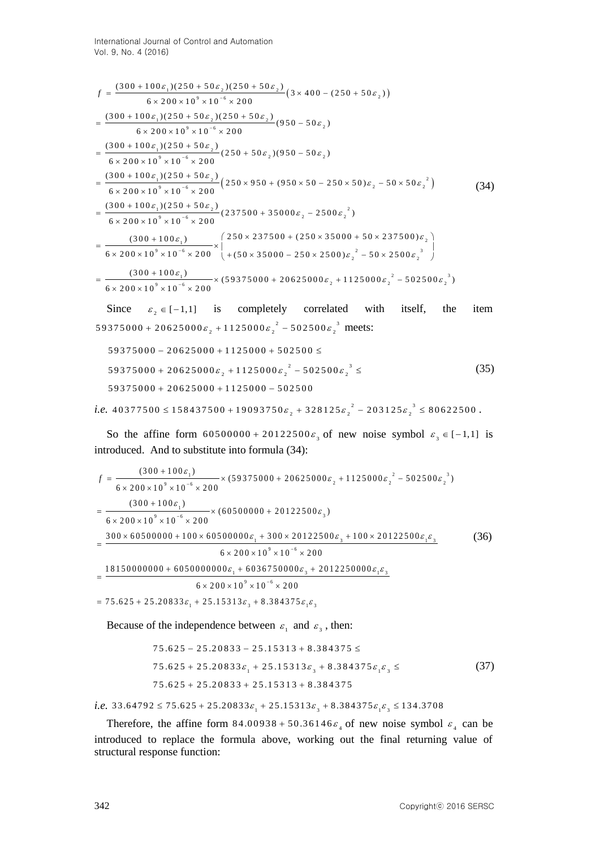$$
f = \frac{(300 + 100\varepsilon_1)(250 + 50\varepsilon_2)(250 + 50\varepsilon_2)}{6 \times 200 \times 10^9 \times 10^{-6} \times 200} (3 \times 400 - (250 + 50\varepsilon_2))
$$
  
\n
$$
= \frac{(300 + 100\varepsilon_1)(250 + 50\varepsilon_2)(250 + 50\varepsilon_2)}{6 \times 200 \times 10^9 \times 10^{-6} \times 200} (950 - 50\varepsilon_2)
$$
  
\n
$$
= \frac{(300 + 100\varepsilon_1)(250 + 50\varepsilon_2)}{6 \times 200 \times 10^9 \times 10^{-6} \times 200} (250 + 50\varepsilon_2)(950 - 50\varepsilon_2)
$$
  
\n
$$
= \frac{(300 + 100\varepsilon_1)(250 + 50\varepsilon_2)}{6 \times 200 \times 10^9 \times 10^{-6} \times 200} (250 \times 950 + (950 \times 50 - 250 \times 50)\varepsilon_2 - 50 \times 50\varepsilon_2^2)
$$
  
\n
$$
= \frac{(300 + 100\varepsilon_1)(250 + 50\varepsilon_2)}{6 \times 200 \times 10^9 \times 10^{-6} \times 200} (237500 + 35000\varepsilon_2 - 2500\varepsilon_2^2)
$$
  
\n
$$
= \frac{(300 + 100\varepsilon_1)(250 + 50\varepsilon_2)}{6 \times 200 \times 10^9 \times 10^{-6} \times 200} \times \left(\frac{250 \times 237500 + (250 \times 35000 + 50 \times 237500)\varepsilon_2}{+(50 \times 35000 - 250 \times 2500)\varepsilon_2^2 - 50 \times 2500\varepsilon_2^3}\right)
$$
  
\n
$$
= \frac{(300 + 100\varepsilon_1)}{6 \times 200 \times 10^9 \times 10^{-6} \times 2
$$

Since  $\varepsilon_2 \in [-1,1]$  is completely correlated with itself, the item Since  $\varepsilon_2 \in [-1,1]$  is completely correlated w<br>
59375000 + 20625000 $\varepsilon_2$  + 1125000 $\varepsilon_2$ <sup>2</sup> - 502500 $\varepsilon_2$ <sup>3</sup> meets:<br>
59375000 - 20625000 + 1125000 + 502500 ≤

$$
59375000 - 20625000 + 1125000 + 502500 \le
$$
  
\n
$$
59375000 + 20625000 \varepsilon_2 + 1125000 \varepsilon_2^2 - 502500 \varepsilon_2^3 \le
$$
  
\n
$$
59375000 + 20625000 + 1125000 - 502500
$$
  
\n
$$
40377500 \le 158437500 + 19093750 \varepsilon_2 + 328125 \varepsilon_2^2 - 203125 \varepsilon_2^3 \le 80622500.
$$
 (35)

*i.e.* 
$$
40377500 \le 158437500 + 19093750\varepsilon_2 + 328125\varepsilon_2^2 - 203125\varepsilon_2^3 \le 80622500
$$
.

So the affine form  $60500000 + 20122500 \epsilon_3$  of new noise symbol  $\epsilon_3 \in [-1,1]$  is

introduced. And to substitute into formula (34):  
\n
$$
f = \frac{(300 + 100 \varepsilon_1)}{6 \times 200 \times 10^9 \times 10^{-6} \times 200} \times (59375000 + 20625000 \varepsilon_2 + 1125000 \varepsilon_2^2 - 502500 \varepsilon_2^3)
$$
\n
$$
= \frac{(300 + 100 \varepsilon_1)}{6 \times 200 \times 10^9 \times 10^{-6} \times 200} \times (60500000 + 20122500 \varepsilon_3)
$$
\n
$$
= \frac{300 \times 60500000 + 100 \times 60500000 \varepsilon_1 + 300 \times 20122500 \varepsilon_3 + 100 \times 20122500 \varepsilon_1 \varepsilon_3}{6 \times 200 \times 10^9 \times 10^{-6} \times 200}
$$
\n
$$
= \frac{18150000000 + 6050000000 \varepsilon_1 + 6036750000 \varepsilon_3 + 2012250000 \varepsilon_1 \varepsilon_3}{6 \times 200 \times 10^9 \times 10^{-6} \times 200}
$$
\n= 75.625 + 25.20833\varepsilon\_1 + 25.15313\varepsilon\_3 + 8.384375\varepsilon\_1 \varepsilon\_3

Because of the independence between 
$$
\varepsilon_1
$$
 and  $\varepsilon_3$ , then:  
\n $75.625 - 25.20833 - 25.15313 + 8.384375 \le$   
\n $75.625 + 25.20833\varepsilon_1 + 25.15313\varepsilon_3 + 8.384375\varepsilon_1\varepsilon_3 \le$   
\n $75.625 + 25.20833 + 25.15313 + 8.384375$   
\ni.e. 33.64792  $\leq$  75.625 + 25.20833 $\varepsilon_1$  + 25.15313 $\varepsilon_3$  + 8.384375 $\varepsilon_1\varepsilon_3 \leq$  134.3708

Therefore, the affine form  $84.00938 + 50.36146\varepsilon_4$  of new noise symbol  $\varepsilon_4$  can be introduced to replace the formula above, working out the final returning value of structural response function: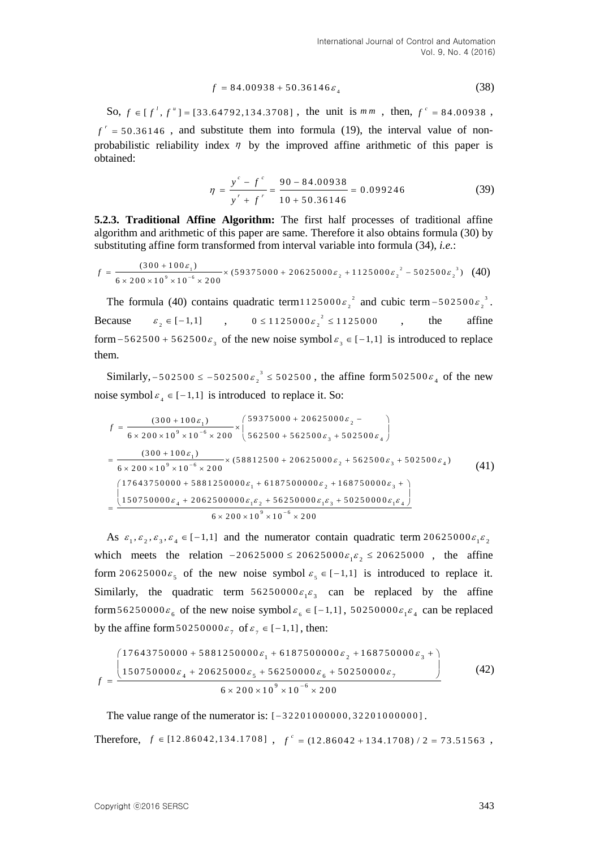$$
f = 84.00938 + 50.36146 \varepsilon_4 \tag{38}
$$

So,  $f \in [f^{\prime}, f^{\prime\prime}] = [33.64792, 134.3708]$ , the unit is  $m m$ , then,  $f^{\prime} = 84.00938$ ,  $f' = 50.36146$ , and substitute them into formula (19), the interval value of nonprobabilistic reliability index  $\eta$  by the improved affine arithmetic of this paper is obtained:

$$
\eta = \frac{y^{c} - f^{c}}{y^{r} + f^{r}} = \frac{90 - 84.00938}{10 + 50.36146} = 0.099246
$$
\n(39)

**5.2.3. Traditional Affine Algorithm:** The first half processes of traditional affine algorithm and arithmetic of this paper are same. Therefore it also obtains formula (30) by algorithm and arithmetic of this paper are same. Therefore it also obtains formula (substituting affine form transformed from interval variable into formula (34), *i.e.*:<br>  $f = \frac{(300 + 100 \epsilon_1)}{6 \times 200 \times 10^9 \times 10^{-6} \times 200}$ 

substituting affine form transformed from interval variable into formula (34), *i.e.*:  
\n
$$
f = \frac{(300 + 100 \varepsilon_1)}{6 \times 200 \times 10^9 \times 10^{-6} \times 200} \times (59375000 + 20625000 \varepsilon_2 + 1125000 \varepsilon_2^2 - 502500 \varepsilon_2^3)
$$
 (40)

The formula (40) contains quadratic term 1125000 $\varepsilon$ ,<sup>2</sup> 1125000 $\varepsilon_2^2$  and cubic term -502500 $\varepsilon_2^3$  $-502500 \varepsilon_2^3$ . Because  $\varepsilon_2 \in [-1,1]$ ,  $0 \le 1125000 \varepsilon_2^2$  $0 \le 1125000 \varepsilon_2^{2} \le 1125000$ , the affine form – 562500 + 562500 $\varepsilon_3$  of the new noise symbol  $\varepsilon_3 \in [-1,1]$  is introduced to replace them.

Similarly,  $-502500 \le -502500 \epsilon_2^3$  $-502500 \le -502500 \varepsilon_2^3 \le 502500$ , the affine form  $502500 \varepsilon_4$  of the new

noise symbol 
$$
\varepsilon_4 \in [-1,1]
$$
 is introduced to replace it. So:  
\n
$$
f = \frac{(300 + 100\varepsilon_1)}{6 \times 200 \times 10^9 \times 10^{-6} \times 200} \times \left(\frac{59375000 + 20625000\varepsilon_2 -}{562500 + 562500\varepsilon_3 + 502500\varepsilon_4}\right)
$$
\n
$$
= \frac{(300 + 100\varepsilon_1)}{6 \times 200 \times 10^9 \times 10^{-6} \times 200} \times (58812500 + 20625000\varepsilon_2 + 562500\varepsilon_3 + 502500\varepsilon_4) \qquad (41)
$$
\n
$$
\left(\frac{17643750000 + 5881250000\varepsilon_1 + 6187500000\varepsilon_2 + 168750000\varepsilon_3 +}{150750000\varepsilon_4 + 206250000\varepsilon_1\varepsilon_2 + 56250000\varepsilon_1\varepsilon_3 + 50250000\varepsilon_1\varepsilon_4}\right)
$$
\n
$$
6 \times 200 \times 10^9 \times 10^{-6} \times 200
$$
\n(41)

As  $\varepsilon_1, \varepsilon_2, \varepsilon_3, \varepsilon_4 \in [-1, 1]$  and the numerator contain quadratic term 20625000 $\varepsilon_1 \varepsilon_2$ As  $\varepsilon_1, \varepsilon_2, \varepsilon_3, \varepsilon_4 \in [-1, 1]$  and the numerator contain quadratic term  $20625000\varepsilon_1\varepsilon_2$ <br>which meets the relation  $-20625000 \le 20625000\varepsilon_1\varepsilon_2 \le 20625000$ , the affine form 20625000 $\varepsilon$ <sub>5</sub> of the new noise symbol  $\varepsilon$ <sub>5</sub>  $\in$  [-1,1] is introduced to replace it. Similarly, the quadratic term  $56250000\varepsilon_1\varepsilon_3$  can be replaced by the affine form 56250000 $\varepsilon_6$  of the new noise symbol  $\varepsilon_6 \in [-1,1]$ , 50250000 $\varepsilon_1 \varepsilon_4$  can be replaced

by the affine form 
$$
50250000\epsilon_7
$$
 of  $\epsilon_7 \in [-1,1]$ , then:  
\n
$$
\left(\frac{17643750000 + 5881250000\epsilon_1 + 6187500000\epsilon_2 + 168750000\epsilon_3 + 1}{150750000\epsilon_4 + 20625000\epsilon_5 + 56250000\epsilon_6 + 50250000\epsilon_7}\right)
$$
\n(42)

The value range of the numerator is:  $[-32201000000, 32201000000]$ .

Therefore,  $f \in [1 2.86042, 134.1708]$ ,  $f^c = (1 2.86042 + 134.1708) / 2 = 73.51563$ ,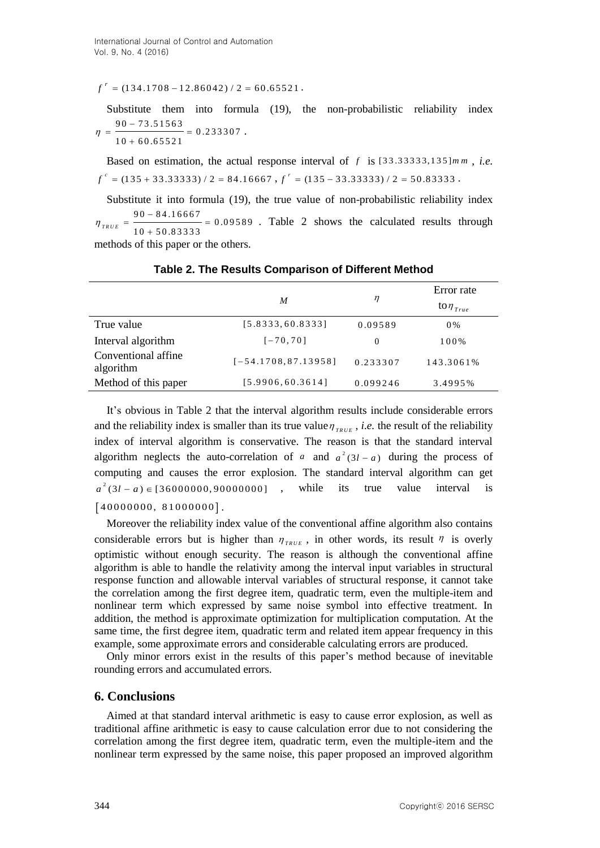$f' = (134.1708 - 12.86042) / 2 = 60.65521$ .

Substitute them into formula (19), the non-probabilistic reliability index  $\frac{73.51563}{2000} = 0.233307$  $\overline{60.65521}$  $\frac{1}{90}$  $\eta = \frac{1}{10}$  $=\frac{90-73.51563}{10+60.65521}=0.$ .

Based on estimation, the actual response interval of  $f$  is  $[33.33333,135]$ *mm*, *i.e.*  $f^{c} = (135 + 33.33333) / 2 = 84.16667$ ,  $f^{r} = (135 - 33.33333) / 2 = 50.83333$ .

Substitute it into formula (19), the true value of non-probabilistic reliability index انة.<br>90  $\frac{1}{10}$  $\frac{84.16667}{89.00000} = 0.09589$  $\eta_{\text{TRUE}} = \frac{}{10 + 50.83333}$  $= \frac{90 - 84.16667}{10 + 50.83333} = 0.0$ . Table 2 shows the calculated results through methods of this paper or the others.

|                                  |                        | $\eta$   | Error rate       |
|----------------------------------|------------------------|----------|------------------|
|                                  | M                      |          | to $\eta_{True}$ |
| True value                       | [5.8333, 60.8333]      | 0.09589  | $0\%$            |
| Interval algorithm               | $[-70, 70]$            | $\Omega$ | 100%             |
| Conventional affine<br>algorithm | $[-54.1708, 87.13958]$ | 0.233307 | 143.3061%        |
| Method of this paper             | [5.9906, 60.3614]      | 0.099246 | 3.4995%          |

#### **Table 2. The Results Comparison of Different Method**

It's obvious in Table 2 that the interval algorithm results include considerable errors and the reliability index is smaller than its true value  $\eta_{\text{TRUE}}$ , *i.e.* the result of the reliability index of interval algorithm is conservative. The reason is that the standard interval algorithm neglects the auto-correlation of *a* and  $a^2(3l - a)$  during the process of computing and causes the error explosion. The standard interval algorithm can get 2 computing and causes the error exprosion. The standard interval algorithm can get  $a^2(3l - a) \in [36000000, 90000000]$ , while its true value interval is  $[40000000, 81000000].$ 

 $f' = (134.1708 - 12.86942) / 2 = 60.65521$ ,<br>
Substitute them into formula (19), the non-probabilistic reliability index<br>  $q = \frac{90 - 23.81566}{10 + 60.65321} = 0.23397$ .<br>  $\Gamma = 0.35 \times 18.53 \times 33.53 \times 2 = 84.16667$ .  $f' = (135 - 33.3333$ Moreover the reliability index value of the conventional affine algorithm also contains considerable errors but is higher than  $\eta_{\text{TRUE}}$ , in other words, its result  $\eta$  is overly optimistic without enough security. The reason is although the conventional affine algorithm is able to handle the relativity among the interval input variables in structural response function and allowable interval variables of structural response, it cannot take the correlation among the first degree item, quadratic term, even the multiple-item and nonlinear term which expressed by same noise symbol into effective treatment. In addition, the method is approximate optimization for multiplication computation. At the same time, the first degree item, quadratic term and related item appear frequency in this example, some approximate errors and considerable calculating errors are produced.

Only minor errors exist in the results of this paper's method because of inevitable rounding errors and accumulated errors.

## **6. Conclusions**

Aimed at that standard interval arithmetic is easy to cause error explosion, as well as traditional affine arithmetic is easy to cause calculation error due to not considering the correlation among the first degree item, quadratic term, even the multiple-item and the nonlinear term expressed by the same noise, this paper proposed an improved algorithm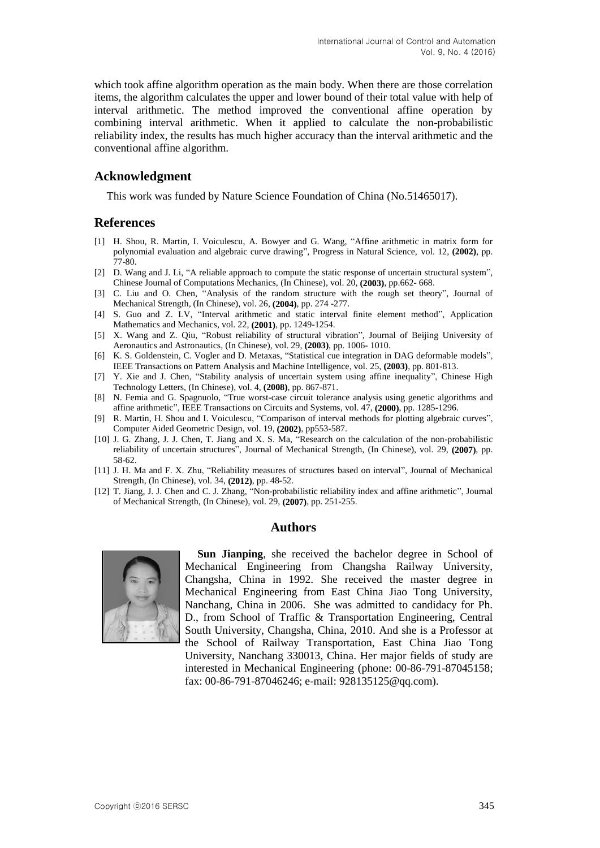which took affine algorithm operation as the main body. When there are those correlation items, the algorithm calculates the upper and lower bound of their total value with help of interval arithmetic. The method improved the conventional affine operation by combining interval arithmetic. When it applied to calculate the non-probabilistic reliability index, the results has much higher accuracy than the interval arithmetic and the conventional affine algorithm.

## **Acknowledgment**

This work was funded by Nature Science Foundation of China (No.51465017).

## **References**

- [1] H. Shou, R. Martin, I. Voiculescu, A. Bowyer and G. Wang, "Affine arithmetic in matrix form for polynomial evaluation and algebraic curve drawing", Progress in Natural Science, vol. 12, **(2002)**, pp. 77-80.
- [2] D. Wang and J. Li, "A reliable approach to compute the static response of uncertain structural system", Chinese Journal of Computations Mechanics, (In Chinese), vol. 20, **(2003)**, pp.662- 668.
- [3] C. Liu and O. Chen, "Analysis of the random structure with the rough set theory", Journal of Mechanical Strength, (In Chinese), vol. 26, **(2004)**, pp. 274 -277.
- [4] S. Guo and Z. LV, "Interval arithmetic and static interval finite element method", Application Mathematics and Mechanics, vol. 22, **(2001)**, pp. 1249-1254.
- [5] X. Wang and Z. Qiu, "Robust reliability of structural vibration", Journal of Beijing University of Aeronautics and Astronautics, (In Chinese), vol. 29, **(2003)**, pp. 1006- 1010.
- [6] K. S. Goldenstein, C. Vogler and D. Metaxas, "Statistical cue integration in DAG deformable models", IEEE Transactions on Pattern Analysis and Machine Intelligence, vol. 25, **(2003)**, pp. 801-813.
- [7] Y. Xie and J. Chen, "Stability analysis of uncertain system using affine inequality", Chinese High Technology Letters, (In Chinese), vol. 4, **(2008)**, pp. 867-871.
- [8] N. Femia and G. Spagnuolo, "True worst-case circuit tolerance analysis using genetic algorithms and affine arithmetic", IEEE Transactions on Circuits and Systems, vol. 47, **(2000)**, pp. 1285-1296.
- [9] R. Martin, H. Shou and I. Voiculescu, "Comparison of interval methods for plotting algebraic curves", Computer Aided Geometric Design, vol. 19, **(2002)**, pp553-587.
- [10] J. G. Zhang, J. J. Chen, T. Jiang and X. S. Ma, "Research on the calculation of the non-probabilistic reliability of uncertain structures", Journal of Mechanical Strength, (In Chinese), vol. 29, **(2007)**, pp. 58-62.
- [11] J. H. Ma and F. X. Zhu, "Reliability measures of structures based on interval", Journal of Mechanical Strength, (In Chinese), vol. 34, **(2012)**, pp. 48-52.
- [12] T. Jiang, J. J. Chen and C. J. Zhang, "Non-probabilistic reliability index and affine arithmetic", Journal of Mechanical Strength, (In Chinese), vol. 29, **(2007)**, pp. 251-255.

#### **Authors**



**Sun Jianping**, she received the bachelor degree in School of Mechanical Engineering from Changsha Railway University, Changsha, China in 1992. She received the master degree in Mechanical Engineering from East China Jiao Tong University, Nanchang, China in 2006. She was admitted to candidacy for Ph. D., from School of Traffic & Transportation Engineering, Central South University, Changsha, China, 2010. And she is a Professor at the School of Railway Transportation, East China Jiao Tong University, Nanchang 330013, China. Her major fields of study are interested in Mechanical Engineering (phone: 00-86-791-87045158; fax: 00-86-791-87046246; e-mail: 928135125@qq.com).